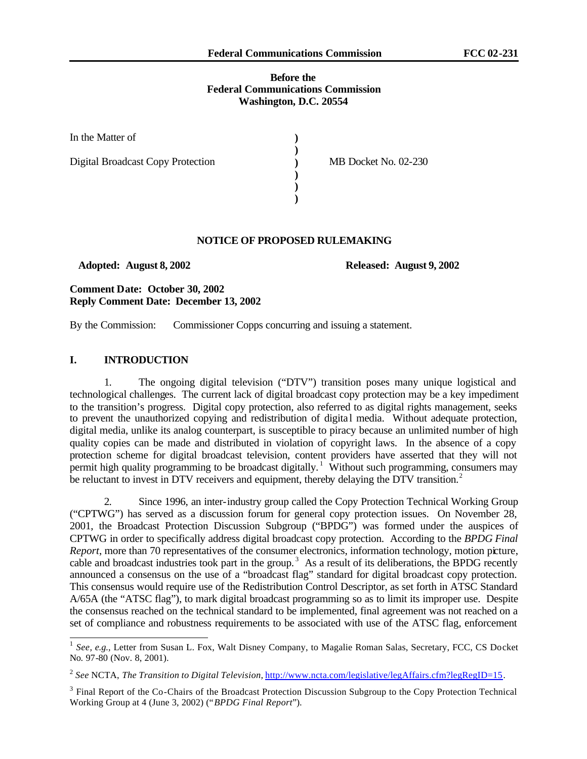#### **Before the Federal Communications Commission Washington, D.C. 20554**

| In the Matter of                         |                      |
|------------------------------------------|----------------------|
| <b>Digital Broadcast Copy Protection</b> | MB Docket No. 02-230 |
|                                          |                      |
|                                          |                      |

#### **NOTICE OF PROPOSED RULEMAKING**

 **Adopted: August 8, 2002 Released: August 9, 2002**

**Comment Date: October 30, 2002 Reply Comment Date: December 13, 2002**

By the Commission: Commissioner Copps concurring and issuing a statement.

#### **I. INTRODUCTION**

1. The ongoing digital television ("DTV") transition poses many unique logistical and technological challenges. The current lack of digital broadcast copy protection may be a key impediment to the transition's progress. Digital copy protection, also referred to as digital rights management, seeks to prevent the unauthorized copying and redistribution of digital media. Without adequate protection, digital media, unlike its analog counterpart, is susceptible to piracy because an unlimited number of high quality copies can be made and distributed in violation of copyright laws. In the absence of a copy protection scheme for digital broadcast television, content providers have asserted that they will not permit high quality programming to be broadcast digitally.<sup>1</sup> Without such programming, consumers may be reluctant to invest in DTV receivers and equipment, thereby delaying the DTV transition.<sup>2</sup>

2. Since 1996, an inter-industry group called the Copy Protection Technical Working Group ("CPTWG") has served as a discussion forum for general copy protection issues. On November 28, 2001, the Broadcast Protection Discussion Subgroup ("BPDG") was formed under the auspices of CPTWG in order to specifically address digital broadcast copy protection. According to the *BPDG Final Report*, more than 70 representatives of the consumer electronics, information technology, motion picture, cable and broadcast industries took part in the group.<sup>3</sup> As a result of its deliberations, the BPDG recently announced a consensus on the use of a "broadcast flag" standard for digital broadcast copy protection. This consensus would require use of the Redistribution Control Descriptor, as set forth in ATSC Standard A/65A (the "ATSC flag"), to mark digital broadcast programming so as to limit its improper use. Despite the consensus reached on the technical standard to be implemented, final agreement was not reached on a set of compliance and robustness requirements to be associated with use of the ATSC flag, enforcement

<sup>&</sup>lt;sup>1</sup> See, e.g., Letter from Susan L. Fox, Walt Disney Company, to Magalie Roman Salas, Secretary, FCC, CS Docket No. 97-80 (Nov. 8, 2001).

<sup>&</sup>lt;sup>2</sup> See NCTA, *The Transition to Digital Television*, *http://www.ncta.com/legislative/legAffairs.cfm?legRegID=15.* 

 $3$  Final Report of the Co-Chairs of the Broadcast Protection Discussion Subgroup to the Copy Protection Technical Working Group at 4 (June 3, 2002) ("*BPDG Final Report*").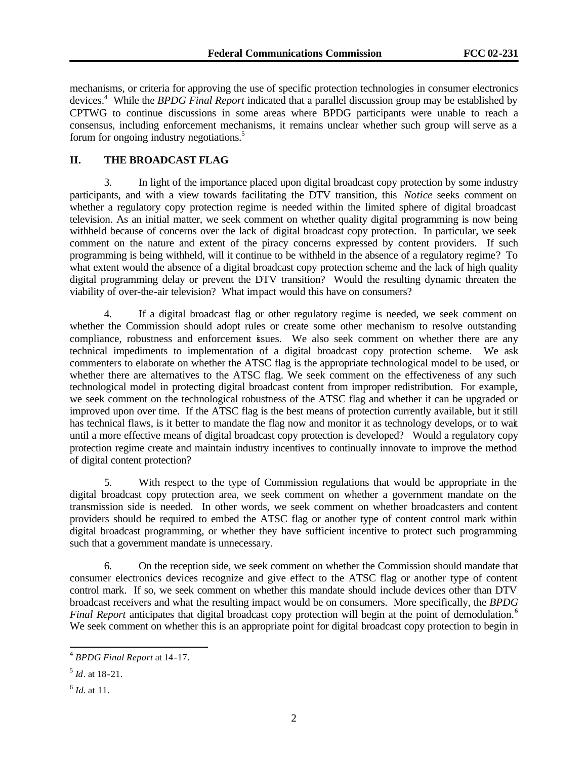mechanisms, or criteria for approving the use of specific protection technologies in consumer electronics devices.<sup>4</sup> While the *BPDG Final Report* indicated that a parallel discussion group may be established by CPTWG to continue discussions in some areas where BPDG participants were unable to reach a consensus, including enforcement mechanisms, it remains unclear whether such group will serve as a forum for ongoing industry negotiations.<sup>5</sup>

# **II. THE BROADCAST FLAG**

3. In light of the importance placed upon digital broadcast copy protection by some industry participants, and with a view towards facilitating the DTV transition, this *Notice* seeks comment on whether a regulatory copy protection regime is needed within the limited sphere of digital broadcast television. As an initial matter, we seek comment on whether quality digital programming is now being withheld because of concerns over the lack of digital broadcast copy protection. In particular, we seek comment on the nature and extent of the piracy concerns expressed by content providers. If such programming is being withheld, will it continue to be withheld in the absence of a regulatory regime? To what extent would the absence of a digital broadcast copy protection scheme and the lack of high quality digital programming delay or prevent the DTV transition? Would the resulting dynamic threaten the viability of over-the-air television? What impact would this have on consumers?

4. If a digital broadcast flag or other regulatory regime is needed, we seek comment on whether the Commission should adopt rules or create some other mechanism to resolve outstanding compliance, robustness and enforcement issues. We also seek comment on whether there are any technical impediments to implementation of a digital broadcast copy protection scheme. We ask commenters to elaborate on whether the ATSC flag is the appropriate technological model to be used, or whether there are alternatives to the ATSC flag. We seek comment on the effectiveness of any such technological model in protecting digital broadcast content from improper redistribution. For example, we seek comment on the technological robustness of the ATSC flag and whether it can be upgraded or improved upon over time. If the ATSC flag is the best means of protection currently available, but it still has technical flaws, is it better to mandate the flag now and monitor it as technology develops, or to wait until a more effective means of digital broadcast copy protection is developed? Would a regulatory copy protection regime create and maintain industry incentives to continually innovate to improve the method of digital content protection?

5. With respect to the type of Commission regulations that would be appropriate in the digital broadcast copy protection area, we seek comment on whether a government mandate on the transmission side is needed. In other words, we seek comment on whether broadcasters and content providers should be required to embed the ATSC flag or another type of content control mark within digital broadcast programming, or whether they have sufficient incentive to protect such programming such that a government mandate is unnecessary.

6. On the reception side, we seek comment on whether the Commission should mandate that consumer electronics devices recognize and give effect to the ATSC flag or another type of content control mark. If so, we seek comment on whether this mandate should include devices other than DTV broadcast receivers and what the resulting impact would be on consumers. More specifically, the *BPDG Final Report* anticipates that digital broadcast copy protection will begin at the point of demodulation.<sup>6</sup> We seek comment on whether this is an appropriate point for digital broadcast copy protection to begin in

<sup>4</sup> *BPDG Final Report* at 14-17.

<sup>5</sup> *Id*. at 18-21.

<sup>6</sup> *Id.* at 11.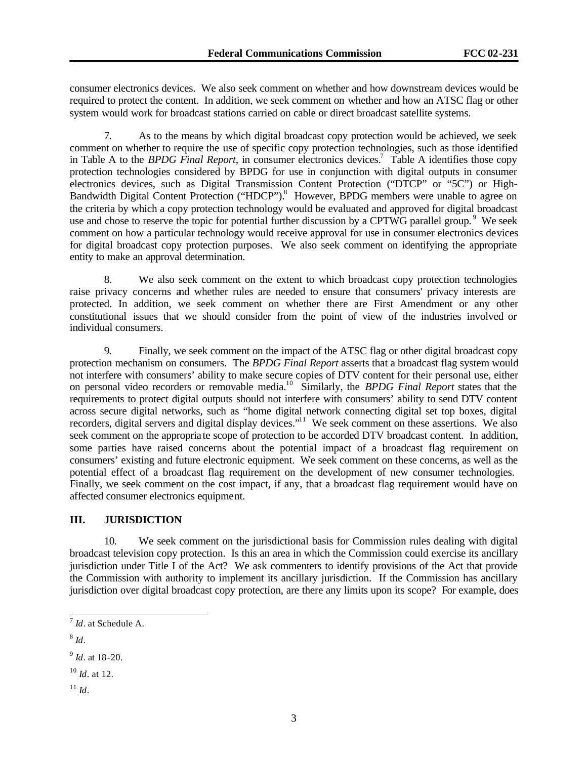consumer electronics devices. We also seek comment on whether and how downstream devices would be required to protect the content. In addition, we seek comment on whether and how an ATSC flag or other system would work for broadcast stations carried on cable or direct broadcast satellite systems.

7. As to the means by which digital broadcast copy protection would be achieved, we seek comment on whether to require the use of specific copy protection technologies, such as those identified in Table A to the *BPDG Final Report*, in consumer electronics devices.<sup>7</sup> Table A identifies those copy protection technologies considered by BPDG for use in conjunction with digital outputs in consumer electronics devices, such as Digital Transmission Content Protection ("DTCP" or "5C") or High-Bandwidth Digital Content Protection ("HDCP").<sup>8</sup> However, BPDG members were unable to agree on the criteria by which a copy protection technology would be evaluated and approved for digital broadcast use and chose to reserve the topic for potential further discussion by a CPTWG parallel group.<sup>9</sup> We seek comment on how a particular technology would receive approval for use in consumer electronics devices for digital broadcast copy protection purposes. We also seek comment on identifying the appropriate entity to make an approval determination.

8. We also seek comment on the extent to which broadcast copy protection technologies raise privacy concerns and whether rules are needed to ensure that consumers' privacy interests are protected. In addition, we seek comment on whether there are First Amendment or any other constitutional issues that we should consider from the point of view of the industries involved or individual consumers.

9. Finally, we seek comment on the impact of the ATSC flag or other digital broadcast copy protection mechanism on consumers. The *BPDG Final Report* asserts that a broadcast flag system would not interfere with consumers' ability to make secure copies of DTV content for their personal use, either on personal video recorders or removable media.<sup>10</sup> Similarly, the *BPDG Final Report* states that the requirements to protect digital outputs should not interfere with consumers' ability to send DTV content across secure digital networks, such as "home digital network connecting digital set top boxes, digital recorders, digital servers and digital display devices."<sup>11</sup> We seek comment on these assertions. We also seek comment on the appropria te scope of protection to be accorded DTV broadcast content. In addition, some parties have raised concerns about the potential impact of a broadcast flag requirement on consumers' existing and future electronic equipment. We seek comment on these concerns, as well as the potential effect of a broadcast flag requirement on the development of new consumer technologies. Finally, we seek comment on the cost impact, if any, that a broadcast flag requirement would have on affected consumer electronics equipment.

# **III. JURISDICTION**

10. We seek comment on the jurisdictional basis for Commission rules dealing with digital broadcast television copy protection. Is this an area in which the Commission could exercise its ancillary jurisdiction under Title I of the Act? We ask commenters to identify provisions of the Act that provide the Commission with authority to implement its ancillary jurisdiction. If the Commission has ancillary jurisdiction over digital broadcast copy protection, are there any limits upon its scope? For example, does

8 *Id*.

- <sup>10</sup> *Id*. at 12.
- $11 \,$ *Id*.

 7 *Id*. at Schedule A.

<sup>9</sup> *Id*. at 18-20.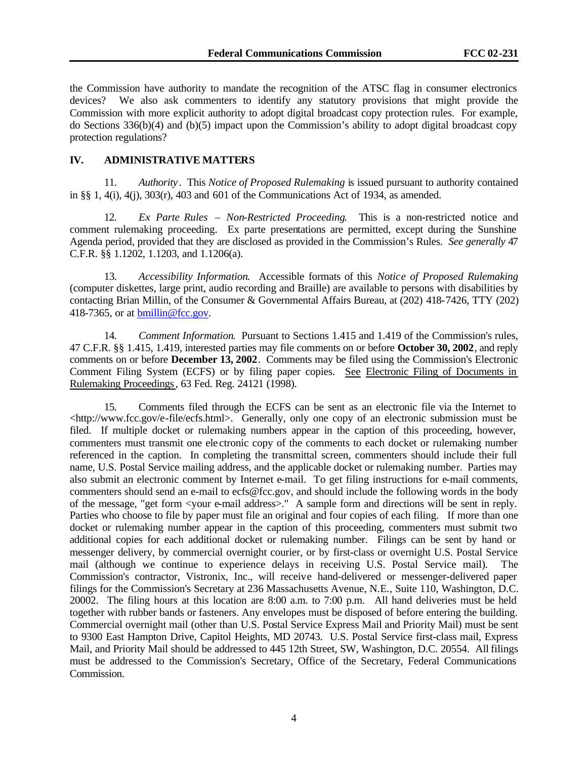the Commission have authority to mandate the recognition of the ATSC flag in consumer electronics devices? We also ask commenters to identify any statutory provisions that might provide the Commission with more explicit authority to adopt digital broadcast copy protection rules. For example, do Sections 336(b)(4) and (b)(5) impact upon the Commission's ability to adopt digital broadcast copy protection regulations?

# **IV. ADMINISTRATIVE MATTERS**

11. *Authority* . This *Notice of Proposed Rulemaking* is issued pursuant to authority contained in §§ 1, 4(i), 4(j), 303(r), 403 and 601 of the Communications Act of 1934, as amended.

12. *Ex Parte Rules – Non-Restricted Proceeding*. This is a non-restricted notice and comment rulemaking proceeding. Ex parte presentations are permitted, except during the Sunshine Agenda period, provided that they are disclosed as provided in the Commission's Rules. *See generally* 47 C.F.R. §§ 1.1202, 1.1203, and 1.1206(a).

13. *Accessibility Information*. Accessible formats of this *Notice of Proposed Rulemaking* (computer diskettes, large print, audio recording and Braille) are available to persons with disabilities by contacting Brian Millin, of the Consumer & Governmental Affairs Bureau, at (202) 418-7426, TTY (202) 418-7365, or at bmillin@fcc.gov.

14. *Comment Information*. Pursuant to Sections 1.415 and 1.419 of the Commission's rules, 47 C.F.R. §§ 1.415, 1.419, interested parties may file comments on or before **October 30, 2002**, and reply comments on or before **December 13, 2002**. Comments may be filed using the Commission's Electronic Comment Filing System (ECFS) or by filing paper copies. See Electronic Filing of Documents in Rulemaking Proceedings, 63 Fed. Reg. 24121 (1998).

15. Comments filed through the ECFS can be sent as an electronic file via the Internet to <http://www.fcc.gov/e-file/ecfs.html>. Generally, only one copy of an electronic submission must be filed. If multiple docket or rulemaking numbers appear in the caption of this proceeding, however, commenters must transmit one ele ctronic copy of the comments to each docket or rulemaking number referenced in the caption. In completing the transmittal screen, commenters should include their full name, U.S. Postal Service mailing address, and the applicable docket or rulemaking number. Parties may also submit an electronic comment by Internet e-mail. To get filing instructions for e-mail comments, commenters should send an e-mail to ecfs@fcc.gov, and should include the following words in the body of the message, "get form <your e-mail address>." A sample form and directions will be sent in reply. Parties who choose to file by paper must file an original and four copies of each filing. If more than one docket or rulemaking number appear in the caption of this proceeding, commenters must submit two additional copies for each additional docket or rulemaking number. Filings can be sent by hand or messenger delivery, by commercial overnight courier, or by first-class or overnight U.S. Postal Service mail (although we continue to experience delays in receiving U.S. Postal Service mail). Commission's contractor, Vistronix, Inc., will receive hand-delivered or messenger-delivered paper filings for the Commission's Secretary at 236 Massachusetts Avenue, N.E., Suite 110, Washington, D.C. 20002. The filing hours at this location are 8:00 a.m. to 7:00 p.m. All hand deliveries must be held together with rubber bands or fasteners. Any envelopes must be disposed of before entering the building. Commercial overnight mail (other than U.S. Postal Service Express Mail and Priority Mail) must be sent to 9300 East Hampton Drive, Capitol Heights, MD 20743. U.S. Postal Service first-class mail, Express Mail, and Priority Mail should be addressed to 445 12th Street, SW, Washington, D.C. 20554. All filings must be addressed to the Commission's Secretary, Office of the Secretary, Federal Communications Commission.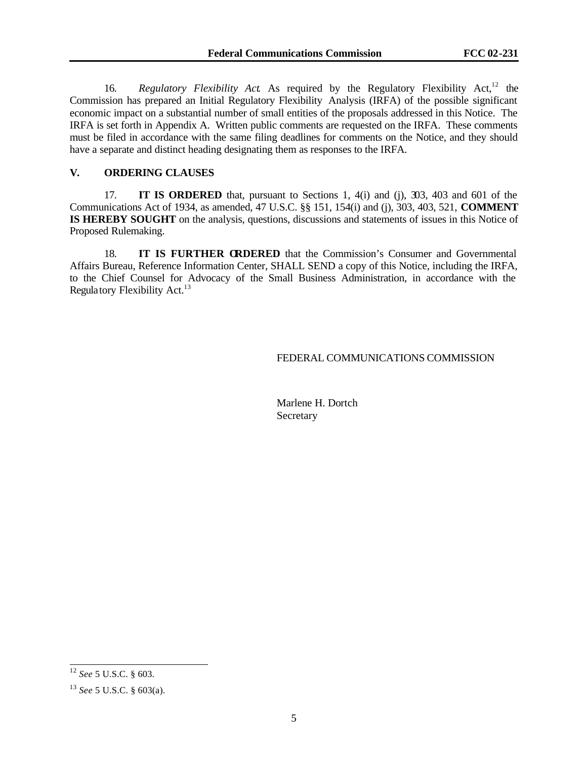16. *Regulatory Flexibility Act.* As required by the Regulatory Flexibility Act,<sup>12</sup> the Commission has prepared an Initial Regulatory Flexibility Analysis (IRFA) of the possible significant economic impact on a substantial number of small entities of the proposals addressed in this Notice. The IRFA is set forth in Appendix A. Written public comments are requested on the IRFA. These comments must be filed in accordance with the same filing deadlines for comments on the Notice, and they should have a separate and distinct heading designating them as responses to the IRFA.

### **V. ORDERING CLAUSES**

17. **IT IS ORDERED** that, pursuant to Sections 1, 4(i) and (j), 303, 403 and 601 of the Communications Act of 1934, as amended, 47 U.S.C. §§ 151, 154(i) and (j), 303, 403, 521, **COMMENT IS HEREBY SOUGHT** on the analysis, questions, discussions and statements of issues in this Notice of Proposed Rulemaking.

18. **IT IS FURTHER ORDERED** that the Commission's Consumer and Governmental Affairs Bureau, Reference Information Center, SHALL SEND a copy of this Notice, including the IRFA, to the Chief Counsel for Advocacy of the Small Business Administration, in accordance with the Regulatory Flexibility Act. $13$ 

### FEDERAL COMMUNICATIONS COMMISSION

Marlene H. Dortch Secretary

<sup>12</sup> *See* 5 U.S.C. § 603.

<sup>13</sup> *See* 5 U.S.C. § 603(a).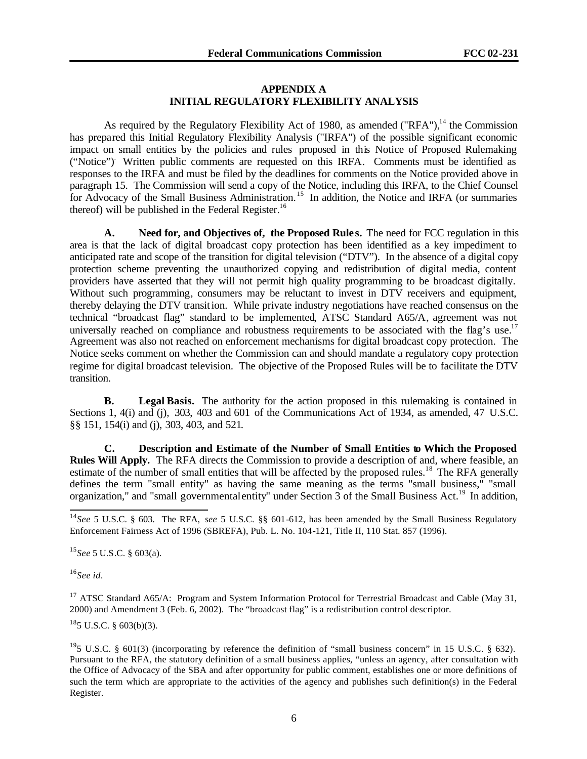### **APPENDIX A INITIAL REGULATORY FLEXIBILITY ANALYSIS**

As required by the Regulatory Flexibility Act of 1980, as amended ("RFA"),<sup>14</sup> the Commission has prepared this Initial Regulatory Flexibility Analysis ("IRFA") of the possible significant economic impact on small entities by the policies and rules proposed in this Notice of Proposed Rulemaking ("Notice"). Written public comments are requested on this IRFA. Comments must be identified as responses to the IRFA and must be filed by the deadlines for comments on the Notice provided above in paragraph 15. The Commission will send a copy of the Notice, including this IRFA, to the Chief Counsel for Advocacy of the Small Business Administration.<sup>15</sup> In addition, the Notice and IRFA (or summaries thereof) will be published in the Federal Register.<sup>16</sup>

**A. Need for, and Objectives of, the Proposed Rule s.** The need for FCC regulation in this area is that the lack of digital broadcast copy protection has been identified as a key impediment to anticipated rate and scope of the transition for digital television ("DTV"). In the absence of a digital copy protection scheme preventing the unauthorized copying and redistribution of digital media, content providers have asserted that they will not permit high quality programming to be broadcast digitally. Without such programming, consumers may be reluctant to invest in DTV receivers and equipment, thereby delaying the DTV transition. While private industry negotiations have reached consensus on the technical "broadcast flag" standard to be implemented, ATSC Standard A65/A, agreement was not universally reached on compliance and robustness requirements to be associated with the flag's use.<sup>17</sup> Agreement was also not reached on enforcement mechanisms for digital broadcast copy protection. The Notice seeks comment on whether the Commission can and should mandate a regulatory copy protection regime for digital broadcast television. The objective of the Proposed Rules will be to facilitate the DTV transition.

**B. Legal Basis.** The authority for the action proposed in this rulemaking is contained in Sections 1, 4(i) and (j), 303, 403 and 601 of the Communications Act of 1934, as amended, 47 U.S.C. §§ 151, 154(i) and (j), 303, 403, and 521.

**C. Description and Estimate of the Number of Small Entities to Which the Proposed Rules Will Apply.** The RFA directs the Commission to provide a description of and, where feasible, an estimate of the number of small entities that will be affected by the proposed rules.<sup>18</sup> The RFA generally defines the term "small entity" as having the same meaning as the terms "small business," "small organization," and "small governmental entity" under Section  $\overline{3}$  of the Small Business Act.<sup>19</sup> In addition,

<sup>15</sup>*See* 5 U.S.C. § 603(a).

<sup>16</sup>*See id.*

l

<sup>17</sup> ATSC Standard A65/A: Program and System Information Protocol for Terrestrial Broadcast and Cable (May 31, 2000) and Amendment 3 (Feb. 6, 2002). The "broadcast flag" is a redistribution control descriptor.

 $18$ <sub>5</sub> U.S.C. § 603(b)(3).

<sup>19</sup>5 U.S.C. § 601(3) (incorporating by reference the definition of "small business concern" in 15 U.S.C. § 632). Pursuant to the RFA, the statutory definition of a small business applies, "unless an agency, after consultation with the Office of Advocacy of the SBA and after opportunity for public comment, establishes one or more definitions of such the term which are appropriate to the activities of the agency and publishes such definition(s) in the Federal Register.

<sup>14</sup>*See* 5 U.S.C. § 603. The RFA, *see* 5 U.S.C. §§ 601-612, has been amended by the Small Business Regulatory Enforcement Fairness Act of 1996 (SBREFA), Pub. L. No. 104-121, Title II, 110 Stat. 857 (1996).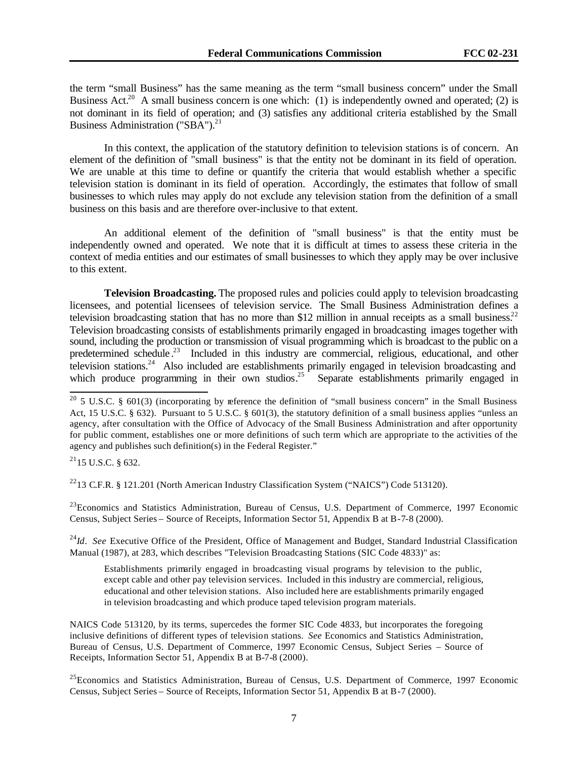the term "small Business" has the same meaning as the term "small business concern" under the Small Business Act.<sup>20</sup> A small business concern is one which: (1) is independently owned and operated; (2) is not dominant in its field of operation; and (3) satisfies any additional criteria established by the Small Business Administration ("SBA"). $^{21}$ 

In this context, the application of the statutory definition to television stations is of concern. An element of the definition of "small business" is that the entity not be dominant in its field of operation. We are unable at this time to define or quantify the criteria that would establish whether a specific television station is dominant in its field of operation. Accordingly, the estimates that follow of small businesses to which rules may apply do not exclude any television station from the definition of a small business on this basis and are therefore over-inclusive to that extent.

An additional element of the definition of "small business" is that the entity must be independently owned and operated. We note that it is difficult at times to assess these criteria in the context of media entities and our estimates of small businesses to which they apply may be over inclusive to this extent.

**Television Broadcasting.** The proposed rules and policies could apply to television broadcasting licensees, and potential licensees of television service. The Small Business Administration defines a television broadcasting station that has no more than \$12 million in annual receipts as a small business.<sup>22</sup> Television broadcasting consists of establishments primarily engaged in broadcasting images together with sound, including the production or transmission of visual programming which is broadcast to the public on a predetermined schedule.<sup>23</sup> Included in this industry are commercial, religious, educational, and other television stations.<sup>24</sup> Also included are establishments primarily engaged in television broadcasting and which produce programming in their own studios.<sup>25</sup> Separate establishments primarily engaged in

 $^{21}$ 15 U.S.C. § 632.

l

<sup>22</sup>13 C.F.R. § 121.201 (North American Industry Classification System ("NAICS") Code 513120).

<sup>23</sup>Economics and Statistics Administration, Bureau of Census, U.S. Department of Commerce, 1997 Economic Census, Subject Series – Source of Receipts, Information Sector 51, Appendix B at B-7-8 (2000).

<sup>24</sup>*Id. See* Executive Office of the President, Office of Management and Budget, Standard Industrial Classification Manual (1987), at 283, which describes "Television Broadcasting Stations (SIC Code 4833)" as:

Establishments primarily engaged in broadcasting visual programs by television to the public, except cable and other pay television services. Included in this industry are commercial, religious, educational and other television stations. Also included here are establishments primarily engaged in television broadcasting and which produce taped television program materials.

NAICS Code 513120, by its terms, supercedes the former SIC Code 4833, but incorporates the foregoing inclusive definitions of different types of television stations. *See* Economics and Statistics Administration, Bureau of Census, U.S. Department of Commerce, 1997 Economic Census, Subject Series – Source of Receipts, Information Sector 51, Appendix B at B-7-8 (2000).

<sup>25</sup>Economics and Statistics Administration, Bureau of Census, U.S. Department of Commerce, 1997 Economic Census, Subject Series – Source of Receipts, Information Sector 51, Appendix B at B-7 (2000).

<sup>&</sup>lt;sup>20</sup> 5 U.S.C. § 601(3) (incorporating by reference the definition of "small business concern" in the Small Business Act, 15 U.S.C. § 632). Pursuant to 5 U.S.C. § 601(3), the statutory definition of a small business applies "unless an agency, after consultation with the Office of Advocacy of the Small Business Administration and after opportunity for public comment, establishes one or more definitions of such term which are appropriate to the activities of the agency and publishes such definition(s) in the Federal Register."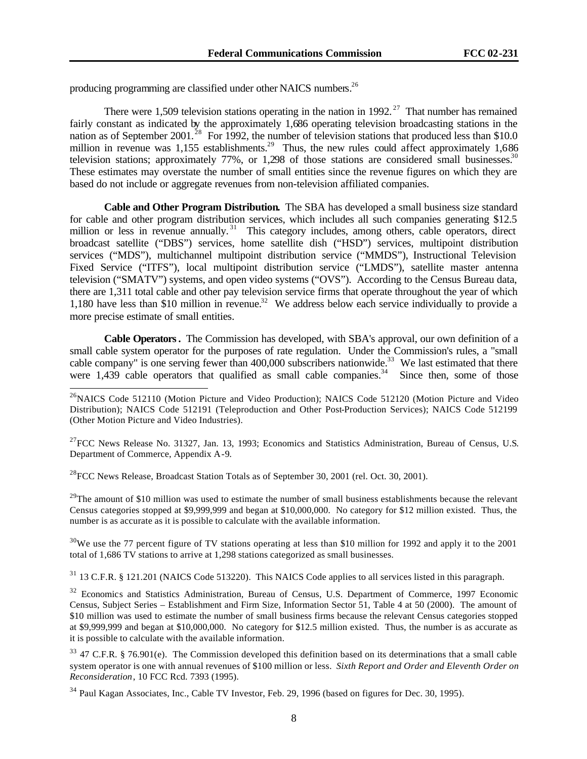producing programming are classified under other NAICS numbers.<sup>26</sup>

There were 1,509 television stations operating in the nation in 1992.<sup>27</sup> That number has remained fairly constant as indicated by the approximately 1,686 operating television broadcasting stations in the nation as of September 2001.<sup>28</sup> For 1992, the number of television stations that produced less than \$10.0 million in revenue was 1,155 establishments.<sup>29</sup> Thus, the new rules could affect approximately 1,686 television stations; approximately  $77\%$ , or 1,298 of those stations are considered small businesses.<sup>30</sup> These estimates may overstate the number of small entities since the revenue figures on which they are based do not include or aggregate revenues from non-television affiliated companies.

**Cable and Other Program Distribution.** The SBA has developed a small business size standard for cable and other program distribution services, which includes all such companies generating \$12.5 million or less in revenue annually.<sup>31</sup> This category includes, among others, cable operators, direct broadcast satellite ("DBS") services, home satellite dish ("HSD") services, multipoint distribution services ("MDS"), multichannel multipoint distribution service ("MMDS"), Instructional Television Fixed Service ("ITFS"), local multipoint distribution service ("LMDS"), satellite master antenna television ("SMATV") systems, and open video systems ("OVS"). According to the Census Bureau data, there are 1,311 total cable and other pay television service firms that operate throughout the year of which 1,180 have less than \$10 million in revenue.<sup>32</sup> We address below each service individually to provide a more precise estimate of small entities.

**Cable Operators.** The Commission has developed, with SBA's approval, our own definition of a small cable system operator for the purposes of rate regulation. Under the Commission's rules, a "small cable company" is one serving fewer than 400,000 subscribers nationwide.<sup>33</sup> We last estimated that there were  $1,439$  cable operators that qualified as small cable companies.<sup>34</sup> Since then, some of those

 $^{27}$ FCC News Release No. 31327, Jan. 13, 1993; Economics and Statistics Administration, Bureau of Census, U.S. Department of Commerce, Appendix A-9.

 $^{28}$  FCC News Release, Broadcast Station Totals as of September 30, 2001 (rel. Oct. 30, 2001).

l

 $^{29}$ The amount of \$10 million was used to estimate the number of small business establishments because the relevant Census categories stopped at \$9,999,999 and began at \$10,000,000. No category for \$12 million existed. Thus, the number is as accurate as it is possible to calculate with the available information.

 $30\text{We}$  use the 77 percent figure of TV stations operating at less than \$10 million for 1992 and apply it to the 2001 total of 1,686 TV stations to arrive at 1,298 stations categorized as small businesses.

<sup>31</sup> 13 C.F.R. § 121.201 (NAICS Code 513220). This NAICS Code applies to all services listed in this paragraph.

<sup>32</sup> Economics and Statistics Administration, Bureau of Census, U.S. Department of Commerce, 1997 Economic Census, Subject Series – Establishment and Firm Size, Information Sector 51, Table 4 at 50 (2000). The amount of \$10 million was used to estimate the number of small business firms because the relevant Census categories stopped at \$9,999,999 and began at \$10,000,000. No category for \$12.5 million existed. Thus, the number is as accurate as it is possible to calculate with the available information.

<sup>33</sup> 47 C.F.R. § 76.901(e). The Commission developed this definition based on its determinations that a small cable system operator is one with annual revenues of \$100 million or less. *Sixth Report and Order and Eleventh Order on Reconsideration*, 10 FCC Rcd. 7393 (1995).

<sup>34</sup> Paul Kagan Associates, Inc., Cable TV Investor, Feb. 29, 1996 (based on figures for Dec. 30, 1995).

<sup>&</sup>lt;sup>26</sup>NAICS Code 512110 (Motion Picture and Video Production); NAICS Code 512120 (Motion Picture and Video Distribution); NAICS Code 512191 (Teleproduction and Other Post-Production Services); NAICS Code 512199 (Other Motion Picture and Video Industries).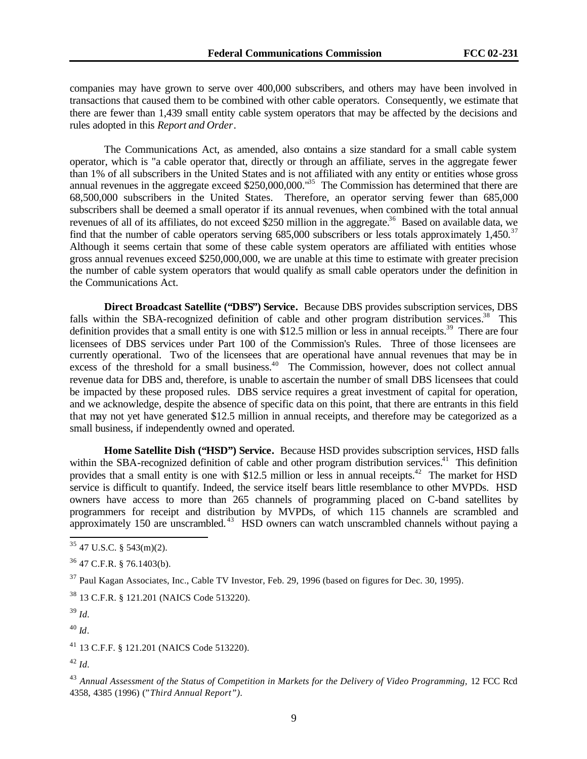companies may have grown to serve over 400,000 subscribers, and others may have been involved in transactions that caused them to be combined with other cable operators. Consequently, we estimate that there are fewer than 1,439 small entity cable system operators that may be affected by the decisions and rules adopted in this *Report and Order*.

The Communications Act, as amended, also contains a size standard for a small cable system operator, which is "a cable operator that, directly or through an affiliate, serves in the aggregate fewer than 1% of all subscribers in the United States and is not affiliated with any entity or entities whose gross annual revenues in the aggregate exceed \$250,000,000.<sup>135</sup> The Commission has determined that there are 68,500,000 subscribers in the United States. Therefore, an operator serving fewer than 685,000 subscribers shall be deemed a small operator if its annual revenues, when combined with the total annual revenues of all of its affiliates, do not exceed \$250 million in the aggregate.<sup>36</sup> Based on available data, we find that the number of cable operators serving  $685,000$  subscribers or less totals approximately 1,450.<sup>37</sup> Although it seems certain that some of these cable system operators are affiliated with entities whose gross annual revenues exceed \$250,000,000, we are unable at this time to estimate with greater precision the number of cable system operators that would qualify as small cable operators under the definition in the Communications Act.

**Direct Broadcast Satellite ("DBS") Service.** Because DBS provides subscription services, DBS falls within the SBA-recognized definition of cable and other program distribution services.<sup>38</sup> This definition provides that a small entity is one with \$12.5 million or less in annual receipts.<sup>39</sup> There are four licensees of DBS services under Part 100 of the Commission's Rules. Three of those licensees are currently operational. Two of the licensees that are operational have annual revenues that may be in excess of the threshold for a small business.<sup>40</sup> The Commission, however, does not collect annual revenue data for DBS and, therefore, is unable to ascertain the number of small DBS licensees that could be impacted by these proposed rules. DBS service requires a great investment of capital for operation, and we acknowledge, despite the absence of specific data on this point, that there are entrants in this field that may not yet have generated \$12.5 million in annual receipts, and therefore may be categorized as a small business, if independently owned and operated.

**Home Satellite Dish ("HSD") Service.** Because HSD provides subscription services, HSD falls within the SBA-recognized definition of cable and other program distribution services.<sup>41</sup> This definition provides that a small entity is one with \$12.5 million or less in annual receipts.<sup>42</sup> The market for HSD service is difficult to quantify. Indeed, the service itself bears little resemblance to other MVPDs. HSD owners have access to more than 265 channels of programming placed on C-band satellites by programmers for receipt and distribution by MVPDs, of which 115 channels are scrambled and approximately 150 are unscrambled.<sup>43</sup> HSD owners can watch unscrambled channels without paying a

 $36$  47 C.F.R. § 76.1403(b).

<sup>37</sup> Paul Kagan Associates, Inc., Cable TV Investor, Feb. 29, 1996 (based on figures for Dec. 30, 1995).

<sup>38</sup> 13 C.F.R. § 121.201 (NAICS Code 513220).

<sup>39</sup> *Id.*

l

<sup>40</sup> *Id*.

<sup>41</sup> 13 C.F.F. § 121.201 (NAICS Code 513220).

<sup>42</sup> *Id.*

 $35$  47 U.S.C. § 543(m)(2).

<sup>&</sup>lt;sup>43</sup> Annual Assessment of the Status of Competition in Markets for the Delivery of Video Programming, 12 FCC Rcd 4358, 4385 (1996) ("*Third Annual Report").*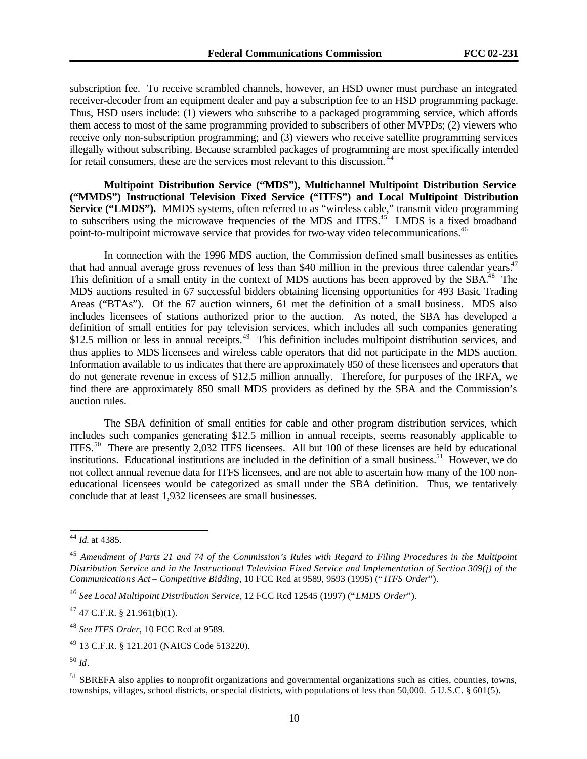subscription fee. To receive scrambled channels, however, an HSD owner must purchase an integrated receiver-decoder from an equipment dealer and pay a subscription fee to an HSD programming package. Thus, HSD users include: (1) viewers who subscribe to a packaged programming service, which affords them access to most of the same programming provided to subscribers of other MVPDs; (2) viewers who receive only non-subscription programming; and (3) viewers who receive satellite programming services illegally without subscribing. Because scrambled packages of programming are most specifically intended for retail consumers, these are the services most relevant to this discussion.<sup>4</sup>

**Multipoint Distribution Service ("MDS"), Multichannel Multipoint Distribution Service ("MMDS") Instructional Television Fixed Service ("ITFS") and Local Multipoint Distribution** Service ("LMDS"). MMDS systems, often referred to as "wireless cable," transmit video programming to subscribers using the microwave frequencies of the MDS and ITFS.<sup>45</sup> LMDS is a fixed broadband point-to-multipoint microwave service that provides for two-way video telecommunications.<sup>46</sup>

In connection with the 1996 MDS auction, the Commission defined small businesses as entities that had annual average gross revenues of less than \$40 million in the previous three calendar years.<sup>47</sup> This definition of a small entity in the context of MDS auctions has been approved by the SBA.<sup>48</sup> The MDS auctions resulted in 67 successful bidders obtaining licensing opportunities for 493 Basic Trading Areas ("BTAs"). Of the 67 auction winners, 61 met the definition of a small business. MDS also includes licensees of stations authorized prior to the auction. As noted, the SBA has developed a definition of small entities for pay television services, which includes all such companies generating \$12.5 million or less in annual receipts.<sup>49</sup> This definition includes multipoint distribution services, and thus applies to MDS licensees and wireless cable operators that did not participate in the MDS auction. Information available to us indicates that there are approximately 850 of these licensees and operators that do not generate revenue in excess of \$12.5 million annually. Therefore, for purposes of the IRFA, we find there are approximately 850 small MDS providers as defined by the SBA and the Commission's auction rules.

The SBA definition of small entities for cable and other program distribution services, which includes such companies generating \$12.5 million in annual receipts, seems reasonably applicable to ITFS.<sup>50</sup> There are presently 2,032 ITFS licensees. All but 100 of these licenses are held by educational institutions. Educational institutions are included in the definition of a small business.<sup>51</sup> However, we do not collect annual revenue data for ITFS licensees, and are not able to ascertain how many of the 100 noneducational licensees would be categorized as small under the SBA definition. Thus, we tentatively conclude that at least 1,932 licensees are small businesses.

<sup>44</sup> *Id.* at 4385.

<sup>45</sup> *Amendment of Parts 21 and 74 of the Commission's Rules with Regard to Filing Procedures in the Multipoint Distribution Service and in the Instructional Television Fixed Service and Implementation of Section 309(j) of the Communications Act – Competitive Bidding*, 10 FCC Rcd at 9589, 9593 (1995) (" *ITFS Order*").

<sup>46</sup> *See Local Multipoint Distribution Service,* 12 FCC Rcd 12545 (1997) ("*LMDS Order*").

 $47$  47 C.F.R. § 21.961(b)(1).

<sup>48</sup> *See ITFS Order*, 10 FCC Rcd at 9589.

<sup>49</sup> 13 C.F.R. § 121.201 (NAICS Code 513220).

<sup>50</sup> *Id*.

<sup>&</sup>lt;sup>51</sup> SBREFA also applies to nonprofit organizations and governmental organizations such as cities, counties, towns, townships, villages, school districts, or special districts, with populations of less than 50,000. 5 U.S.C. § 601(5).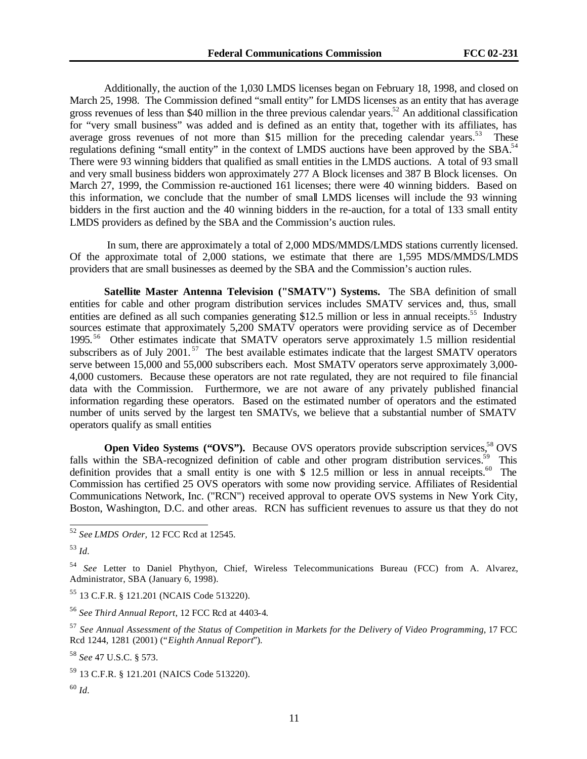Additionally, the auction of the 1,030 LMDS licenses began on February 18, 1998, and closed on March 25, 1998. The Commission defined "small entity" for LMDS licenses as an entity that has average gross revenues of less than \$40 million in the three previous calendar years.<sup>52</sup> An additional classification for "very small business" was added and is defined as an entity that, together with its affiliates, has average gross revenues of not more than \$15 million for the preceding calendar years.<sup>53</sup> These regulations defining "small entity" in the context of LMDS auctions have been approved by the SBA.<sup>54</sup> There were 93 winning bidders that qualified as small entities in the LMDS auctions. A total of 93 small and very small business bidders won approximately 277 A Block licenses and 387 B Block licenses. On March 27, 1999, the Commission re-auctioned 161 licenses; there were 40 winning bidders. Based on this information, we conclude that the number of small LMDS licenses will include the 93 winning bidders in the first auction and the 40 winning bidders in the re-auction, for a total of 133 small entity LMDS providers as defined by the SBA and the Commission's auction rules.

 In sum, there are approximately a total of 2,000 MDS/MMDS/LMDS stations currently licensed. Of the approximate total of 2,000 stations, we estimate that there are 1,595 MDS/MMDS/LMDS providers that are small businesses as deemed by the SBA and the Commission's auction rules.

**Satellite Master Antenna Television ("SMATV") Systems.** The SBA definition of small entities for cable and other program distribution services includes SMATV services and, thus, small entities are defined as all such companies generating \$12.5 million or less in annual receipts.<sup>55</sup> Industry sources estimate that approximately 5,200 SMATV operators were providing service as of December 1995. <sup>56</sup> Other estimates indicate that SMATV operators serve approximately 1.5 million residential subscribers as of July 2001.<sup>57</sup> The best available estimates indicate that the largest SMATV operators serve between 15,000 and 55,000 subscribers each. Most SMATV operators serve approximately 3,000- 4,000 customers. Because these operators are not rate regulated, they are not required to file financial data with the Commission. Furthermore, we are not aware of any privately published financial information regarding these operators. Based on the estimated number of operators and the estimated number of units served by the largest ten SMATVs, we believe that a substantial number of SMATV operators qualify as small entities

**Open Video Systems ("OVS").** Because OVS operators provide subscription services,<sup>58</sup> OVS falls within the SBA-recognized definition of cable and other program distribution services.<sup>59</sup> This definition provides that a small entity is one with  $$ 12.5$  million or less in annual receipts.<sup>60</sup> The Commission has certified 25 OVS operators with some now providing service. Affiliates of Residential Communications Network, Inc. ("RCN") received approval to operate OVS systems in New York City, Boston, Washington, D.C. and other areas. RCN has sufficient revenues to assure us that they do not

l

<sup>55</sup> 13 C.F.R. § 121.201 (NCAIS Code 513220).

<sup>56</sup> *See Third Annual Report*, 12 FCC Rcd at 4403-4.

<sup>58</sup> *See* 47 U.S.C. § 573.

<sup>52</sup> *See LMDS Order,* 12 FCC Rcd at 12545.

<sup>53</sup> *Id.*

<sup>54</sup> *See* Letter to Daniel Phythyon, Chief, Wireless Telecommunications Bureau (FCC) from A. Alvarez, Administrator, SBA (January 6, 1998).

<sup>57</sup> *See Annual Assessment of the Status of Competition in Markets for the Delivery of Video Programming*, 17 FCC Rcd 1244, 1281 (2001) ("*Eighth Annual Report*").

<sup>59</sup> 13 C.F.R. § 121.201 (NAICS Code 513220).

<sup>60</sup> *Id.*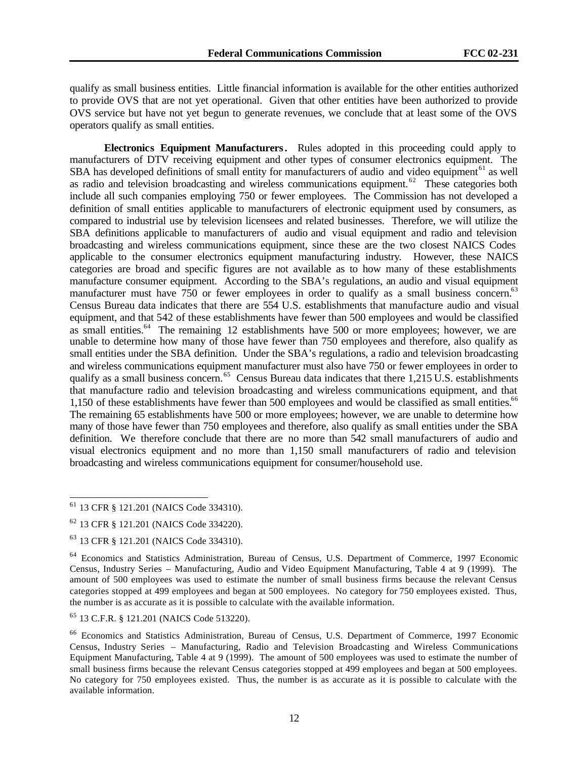qualify as small business entities. Little financial information is available for the other entities authorized to provide OVS that are not yet operational. Given that other entities have been authorized to provide OVS service but have not yet begun to generate revenues, we conclude that at least some of the OVS operators qualify as small entities.

**Electronics Equipment Manufacturers.** Rules adopted in this proceeding could apply to manufacturers of DTV receiving equipment and other types of consumer electronics equipment. The SBA has developed definitions of small entity for manufacturers of audio and video equipment<sup>61</sup> as well as radio and television broadcasting and wireless communications equipment.<sup>62</sup> These categories both include all such companies employing 750 or fewer employees. The Commission has not developed a definition of small entities applicable to manufacturers of electronic equipment used by consumers, as compared to industrial use by television licensees and related businesses. Therefore, we will utilize the SBA definitions applicable to manufacturers of audio and visual equipment and radio and television broadcasting and wireless communications equipment, since these are the two closest NAICS Codes applicable to the consumer electronics equipment manufacturing industry. However, these NAICS categories are broad and specific figures are not available as to how many of these establishments manufacture consumer equipment. According to the SBA's regulations, an audio and visual equipment manufacturer must have 750 or fewer employees in order to qualify as a small business concern.<sup>63</sup> Census Bureau data indicates that there are 554 U.S. establishments that manufacture audio and visual equipment, and that 542 of these establishments have fewer than 500 employees and would be classified as small entities.<sup>64</sup> The remaining 12 establishments have 500 or more employees; however, we are unable to determine how many of those have fewer than 750 employees and therefore, also qualify as small entities under the SBA definition. Under the SBA's regulations, a radio and television broadcasting and wireless communications equipment manufacturer must also have 750 or fewer employees in order to qualify as a small business concern.<sup>65</sup> Census Bureau data indicates that there 1,215 U.S. establishments that manufacture radio and television broadcasting and wireless communications equipment, and that 1,150 of these establishments have fewer than 500 employees and would be classified as small entities.<sup>66</sup> The remaining 65 establishments have 500 or more employees; however, we are unable to determine how many of those have fewer than 750 employees and therefore, also qualify as small entities under the SBA definition. We therefore conclude that there are no more than 542 small manufacturers of audio and visual electronics equipment and no more than 1,150 small manufacturers of radio and television broadcasting and wireless communications equipment for consumer/household use.

<sup>61</sup> 13 CFR § 121.201 (NAICS Code 334310).

<sup>62</sup> 13 CFR § 121.201 (NAICS Code 334220).

<sup>63</sup> 13 CFR § 121.201 (NAICS Code 334310).

<sup>64</sup> Economics and Statistics Administration, Bureau of Census, U.S. Department of Commerce, 1997 Economic Census, Industry Series – Manufacturing, Audio and Video Equipment Manufacturing, Table 4 at 9 (1999). The amount of 500 employees was used to estimate the number of small business firms because the relevant Census categories stopped at 499 employees and began at 500 employees. No category for 750 employees existed. Thus, the number is as accurate as it is possible to calculate with the available information.

<sup>65</sup> 13 C.F.R. § 121.201 (NAICS Code 513220).

<sup>66</sup> Economics and Statistics Administration, Bureau of Census, U.S. Department of Commerce, 1997 Economic Census, Industry Series – Manufacturing, Radio and Television Broadcasting and Wireless Communications Equipment Manufacturing, Table 4 at 9 (1999). The amount of 500 employees was used to estimate the number of small business firms because the relevant Census categories stopped at 499 employees and began at 500 employees. No category for 750 employees existed. Thus, the number is as accurate as it is possible to calculate with the available information.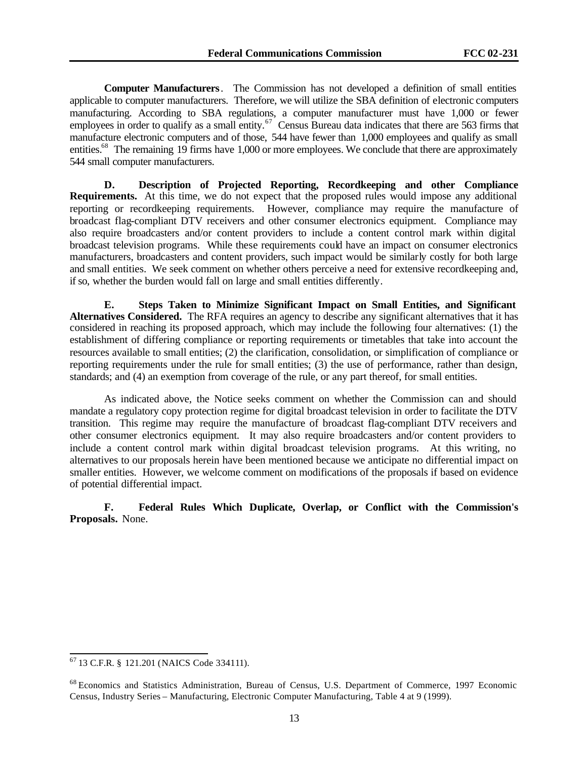**Computer Manufacturers**. The Commission has not developed a definition of small entities applicable to computer manufacturers. Therefore, we will utilize the SBA definition of electronic computers manufacturing. According to SBA regulations, a computer manufacturer must have 1,000 or fewer employees in order to qualify as a small entity.<sup>67</sup> Census Bureau data indicates that there are 563 firms that manufacture electronic computers and of those, 544 have fewer than 1,000 employees and qualify as small entities.<sup>68</sup> The remaining 19 firms have 1,000 or more employees. We conclude that there are approximately 544 small computer manufacturers.

**D. Description of Projected Reporting, Recordkeeping and other Compliance Requirements.**At this time, we do not expect that the proposed rules would impose any additional reporting or recordkeeping requirements. However, compliance may require the manufacture of broadcast flag-compliant DTV receivers and other consumer electronics equipment. Compliance may also require broadcasters and/or content providers to include a content control mark within digital broadcast television programs. While these requirements could have an impact on consumer electronics manufacturers, broadcasters and content providers, such impact would be similarly costly for both large and small entities. We seek comment on whether others perceive a need for extensive recordkeeping and, if so, whether the burden would fall on large and small entities differently.

**E. Steps Taken to Minimize Significant Impact on Small Entities, and Significant Alternatives Considered.**The RFA requires an agency to describe any significant alternatives that it has considered in reaching its proposed approach, which may include the following four alternatives: (1) the establishment of differing compliance or reporting requirements or timetables that take into account the resources available to small entities; (2) the clarification, consolidation, or simplification of compliance or reporting requirements under the rule for small entities; (3) the use of performance, rather than design, standards; and (4) an exemption from coverage of the rule, or any part thereof, for small entities.

As indicated above, the Notice seeks comment on whether the Commission can and should mandate a regulatory copy protection regime for digital broadcast television in order to facilitate the DTV transition. This regime may require the manufacture of broadcast flag-compliant DTV receivers and other consumer electronics equipment. It may also require broadcasters and/or content providers to include a content control mark within digital broadcast television programs. At this writing, no alternatives to our proposals herein have been mentioned because we anticipate no differential impact on smaller entities. However, we welcome comment on modifications of the proposals if based on evidence of potential differential impact.

**F. Federal Rules Which Duplicate, Overlap, or Conflict with the Commission's Proposals.** None.

<sup>67</sup> 13 C.F.R. § 121.201 (NAICS Code 334111).

<sup>68</sup> Economics and Statistics Administration, Bureau of Census, U.S. Department of Commerce, 1997 Economic Census, Industry Series – Manufacturing, Electronic Computer Manufacturing, Table 4 at 9 (1999).